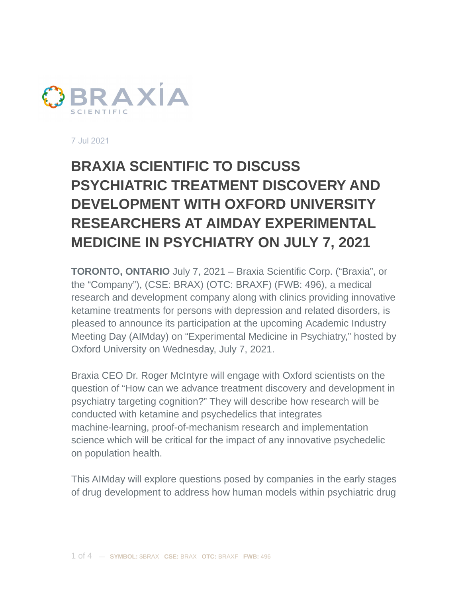

7 Jul 2021

## **BRAXIA SCIENTIFIC TO DISCUSS PSYCHIATRIC TREATMENT DISCOVERY AND DEVELOPMENT WITH OXFORD UNIVERSITY RESEARCHERS AT AIMDAY EXPERIMENTAL MEDICINE IN PSYCHIATRY ON JULY 7, 2021**

**TORONTO, ONTARIO** July 7, 2021 – Braxia Scientific Corp. ("Braxia", or the "Company"), (CSE: BRAX) (OTC: BRAXF) (FWB: 496), a medical research and development company along with clinics providing innovative ketamine treatments for persons with depression and related disorders, is pleased to announce its participation at the upcoming Academic Industry Meeting Day (AIMday) on "Experimental Medicine in Psychiatry," hosted by Oxford University on Wednesday, July 7, 2021.

Braxia CEO Dr. Roger McIntyre will engage with Oxford scientists on the question of "How can we advance treatment discovery and development in psychiatry targeting cognition?" They will describe how research will be conducted with ketamine and psychedelics that integrates machine-learning, proof-of-mechanism research and implementation science which will be critical for the impact of any innovative psychedelic on population health.

This AIMday will explore questions posed by companies in the early stages of drug development to address how human models within psychiatric drug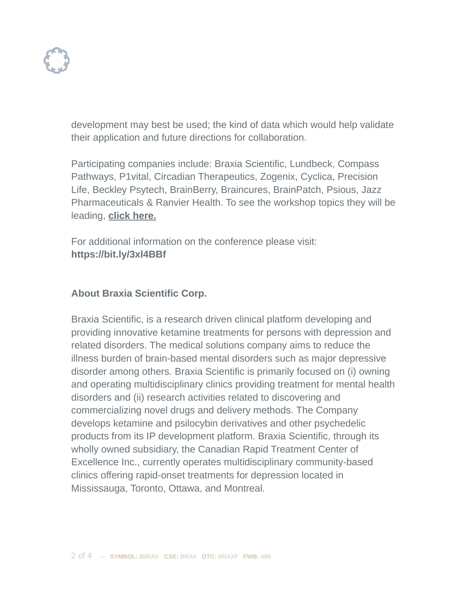

development may best be used; the kind of data which would help validate their application and future directions for collaboration.

Participating companies include: Braxia Scientific, Lundbeck, Compass Pathways, P1vital, Circadian Therapeutics, Zogenix, Cyclica, Precision Life, Beckley Psytech, BrainBerry, Braincures, BrainPatch, Psious, Jazz Pharmaceuticals & Ranvier Health. To see the workshop topics they will be leading, **click [here.](https://aimday.se/experimental-medicine-psychiatry-oxford-2021/questions-listing/)**

For additional information on the conference please visit: **https://bit.ly/3xl4BBf**

## **About Braxia Scientific Corp.**

Braxia Scientific, is a research driven clinical platform developing and providing innovative ketamine treatments for persons with depression and related disorders. The medical solutions company aims to reduce the illness burden of brain-based mental disorders such as major depressive disorder among others. Braxia Scientific is primarily focused on (i) owning and operating multidisciplinary clinics providing treatment for mental health disorders and (ii) research activities related to discovering and commercializing novel drugs and delivery methods. The Company develops ketamine and psilocybin derivatives and other psychedelic products from its IP development platform. Braxia Scientific, through its wholly owned subsidiary, the Canadian Rapid Treatment Center of Excellence Inc., currently operates multidisciplinary community-based clinics offering rapid-onset treatments for depression located in Mississauga, Toronto, Ottawa, and Montreal.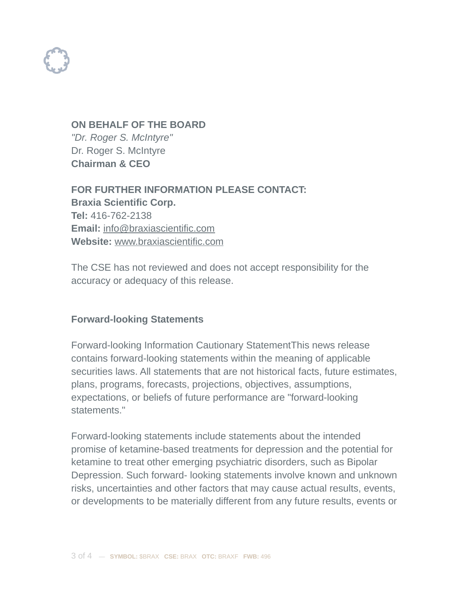

**ON BEHALF OF THE BOARD** *"Dr. Roger S. McIntyre"* Dr. Roger S. McIntyre **Chairman & CEO**

**FOR FURTHER INFORMATION PLEASE CONTACT: Braxia Scientific Corp. Tel:** 416-762-2138 **Email:** [info@braxiascientific.com](mailto:info@braxiascientific.com) **Website:** [www.braxiascientific.com](http://www.braxiascientific.com)

The CSE has not reviewed and does not accept responsibility for the accuracy or adequacy of this release.

## **Forward-looking Statements**

Forward-looking Information Cautionary Statement
This news release contains forward-looking statements within the meaning of applicable securities laws. All statements that are not historical facts, future estimates, plans, programs, forecasts, projections, objectives, assumptions, expectations, or beliefs of future performance are "forward-looking statements."

Forward-looking statements include statements about the intended promise of ketamine-based treatments for depression and the potential for ketamine to treat other emerging psychiatric disorders, such as Bipolar Depression. Such forward- looking statements involve known and unknown risks, uncertainties and other factors that may cause actual results, events, or developments to be materially different from any future results, events or